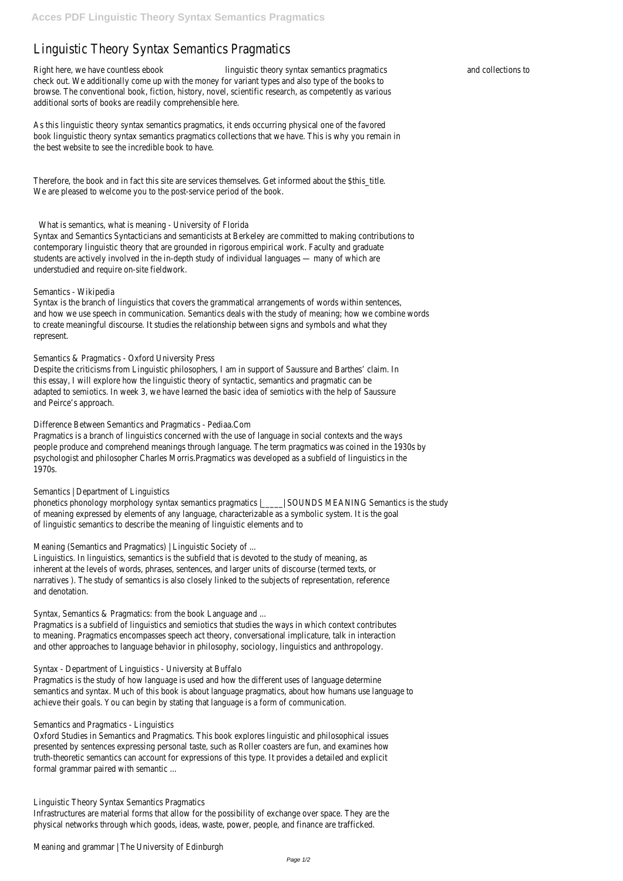# Linguistic Theory Syntax Semantics Pragmatics

Right here, we have countless ebook linguistic theory syntax semantics pragmatics and collections to check out. We additionally come up with the money for variant types and also type of the books to browse. The conventional book, fiction, history, novel, scientific research, as competently as various additional sorts of books are readily comprehensible here.

As this linguistic theory syntax semantics pragmatics, it ends occurring physical one of the favored book linguistic theory syntax semantics pragmatics collections that we have. This is why you remain in the best website to see the incredible book to have.

Therefore, the book and in fact this site are services themselves. Get informed about the \$this\_title. We are pleased to welcome you to the post-service period of the book.

What is semantics, what is meaning - University of Florida

Syntax and Semantics Syntacticians and semanticists at Berkeley are committed to making contributions to contemporary linguistic theory that are grounded in rigorous empirical work. Faculty and graduate students are actively involved in the in-depth study of individual languages — many of which are understudied and require on-site fieldwork.

## Semantics - Wikipedia

Syntax is the branch of linguistics that covers the grammatical arrangements of words within sentences, and how we use speech in communication. Semantics deals with the study of meaning; how we combine words to create meaningful discourse. It studies the relationship between signs and symbols and what they represent.

## Semantics & Pragmatics - Oxford University Press

Despite the criticisms from Linguistic philosophers, I am in support of Saussure and Barthes' claim. In this essay, I will explore how the linguistic theory of syntactic, semantics and pragmatic can be adapted to semiotics. In week 3, we have learned the basic idea of semiotics with the help of Saussure and Peirce's approach.

## Difference Between Semantics and Pragmatics - Pediaa.Com

Pragmatics is a branch of linguistics concerned with the use of language in social contexts and the ways people produce and comprehend meanings through language. The term pragmatics was coined in the 1930s by psychologist and philosopher Charles Morris.Pragmatics was developed as a subfield of linguistics in the 1970s.

## Semantics | Department of Linguistics

phonetics phonology morphology syntax semantics pragmatics |\_\_\_\_\_| SOUNDS MEANING Semantics is the study of meaning expressed by elements of any language, characterizable as a symbolic system. It is the goal of linguistic semantics to describe the meaning of linguistic elements and to

Meaning (Semantics and Pragmatics) | Linguistic Society of ...

Linguistics. In linguistics, semantics is the subfield that is devoted to the study of meaning, as inherent at the levels of words, phrases, sentences, and larger units of discourse (termed texts, or narratives ). The study of semantics is also closely linked to the subjects of representation, reference and denotation.

Syntax, Semantics & Pragmatics: from the book Language and ...

Pragmatics is a subfield of linguistics and semiotics that studies the ways in which context contributes to meaning. Pragmatics encompasses speech act theory, conversational implicature, talk in interaction and other approaches to language behavior in philosophy, sociology, linguistics and anthropology.

Syntax - Department of Linguistics - University at Buffalo

Pragmatics is the study of how language is used and how the different uses of language determine semantics and syntax. Much of this book is about language pragmatics, about how humans use language to achieve their goals. You can begin by stating that language is a form of communication.

Semantics and Pragmatics - Linguistics

Oxford Studies in Semantics and Pragmatics. This book explores linguistic and philosophical issues presented by sentences expressing personal taste, such as Roller coasters are fun, and examines how truth-theoretic semantics can account for expressions of this type. It provides a detailed and explicit formal grammar paired with semantic ...

Linguistic Theory Syntax Semantics Pragmatics

Infrastructures are material forms that allow for the possibility of exchange over space. They are the physical networks through which goods, ideas, waste, power, people, and finance are trafficked.

Meaning and grammar | The University of Edinburgh